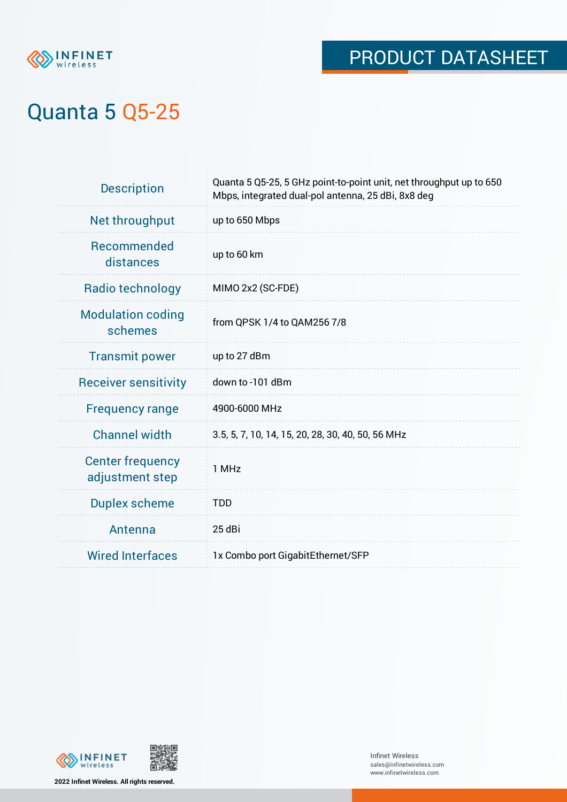

# Quanta 5 Q5-25

| <b>Description</b>                         | Quanta 5 Q5-25, 5 GHz point-to-point unit, net throughput up to 650<br>Mbps, integrated dual-pol antenna, 25 dBi, 8x8 deg |
|--------------------------------------------|---------------------------------------------------------------------------------------------------------------------------|
| Net throughput                             | up to 650 Mbps                                                                                                            |
| <b>Recommended</b><br>distances            | up to 60 km                                                                                                               |
| Radio technology                           | MIMO 2x2 (SC-FDE)                                                                                                         |
| <b>Modulation coding</b><br>schemes        | from QPSK 1/4 to QAM256 7/8                                                                                               |
| <b>Transmit power</b>                      | up to 27 dBm                                                                                                              |
| <b>Receiver sensitivity</b>                | down to -101 dBm                                                                                                          |
| <b>Frequency range</b>                     | 4900-6000 MHz                                                                                                             |
| <b>Channel width</b>                       | 3.5, 5, 7, 10, 14, 15, 20, 28, 30, 40, 50, 56 MHz                                                                         |
| <b>Center frequency</b><br>adjustment step | 1 MHz                                                                                                                     |
| <b>Duplex scheme</b>                       | <b>TDD</b>                                                                                                                |
| Antenna                                    | 25 dBi                                                                                                                    |
| <b>Wired Interfaces</b>                    | 1x Combo port GigabitEthernet/SFP                                                                                         |



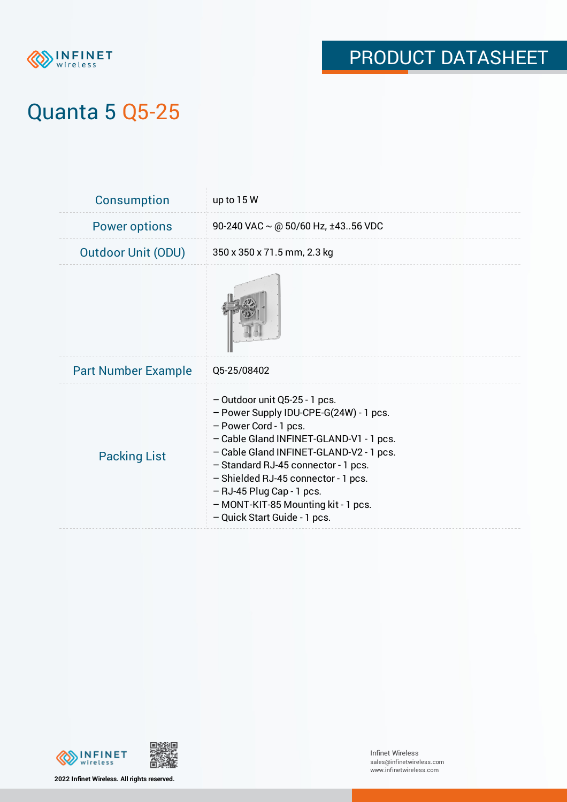

# Quanta 5 Q5-25

| <b>Consumption</b>         | up to 15 W                                                                                                                                                                                                                                                                                                                                                                   |
|----------------------------|------------------------------------------------------------------------------------------------------------------------------------------------------------------------------------------------------------------------------------------------------------------------------------------------------------------------------------------------------------------------------|
| <b>Power options</b>       | 90-240 VAC $\sim$ @ 50/60 Hz, ±4356 VDC                                                                                                                                                                                                                                                                                                                                      |
| <b>Outdoor Unit (ODU)</b>  | 350 x 350 x 71.5 mm, 2.3 kg                                                                                                                                                                                                                                                                                                                                                  |
|                            |                                                                                                                                                                                                                                                                                                                                                                              |
| <b>Part Number Example</b> | Q5-25/08402                                                                                                                                                                                                                                                                                                                                                                  |
| <b>Packing List</b>        | $-$ Outdoor unit Q5-25 - 1 pcs.<br>- Power Supply IDU-CPE-G(24W) - 1 pcs.<br>- Power Cord - 1 pcs.<br>- Cable Gland INFINET-GLAND-V1 - 1 pcs.<br>- Cable Gland INFINET-GLAND-V2 - 1 pcs.<br>- Standard RJ-45 connector - 1 pcs.<br>- Shielded RJ-45 connector - 1 pcs.<br>$-$ RJ-45 Plug Cap - 1 pcs.<br>- MONT-KIT-85 Mounting kit - 1 pcs.<br>- Quick Start Guide - 1 pcs. |





**2022 Infinet Wireless. All rights reserved.**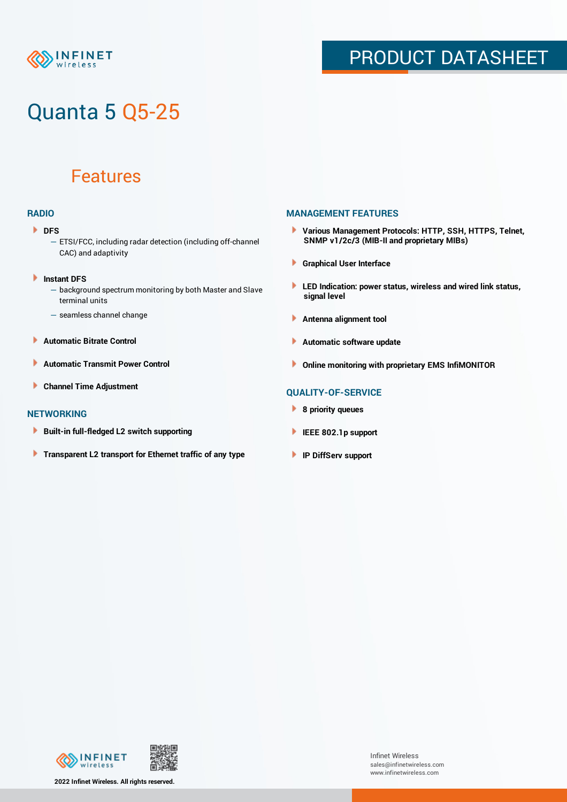

# Quanta 5 Q5-25

### Features

### **RADIO**

- **DFS** 
	- ETSI/FCC, including radar detection (including off-channel CAC) and adaptivity
- Þ **Instant DFS**
	- background spectrum monitoring by both Master and Slave terminal units
	- seamless channel change
- **Automatic Bitrate Control** Þ
- Þ **Automatic Transmit Power Control**
- Þ **Channel Time Adjustment**

#### **NETWORKING**

- Þ **Built-in full-fledged L2 switch supporting**
- Þ **Transparent L2 transport for Ethernet traffic of any type**

### **MANAGEMENT FEATURES**

- **Various Management Protocols: HTTP, SSH, HTTPS, Telnet, SNMP v1/2c/3 (MIB-II and proprietary MIBs)**
- **Graphical User Interface**
- **LED Indication: power status, wireless and wired link status, signal level**
- **Antenna alignment tool**
- ٠ **Automatic software update**
- **Online monitoring with proprietary EMS InfiMONITOR**

### **QUALITY-OF-SERVICE**

- **8 priority queues**
- **IEEE 802.1p support**
- **IP DiffServ support**



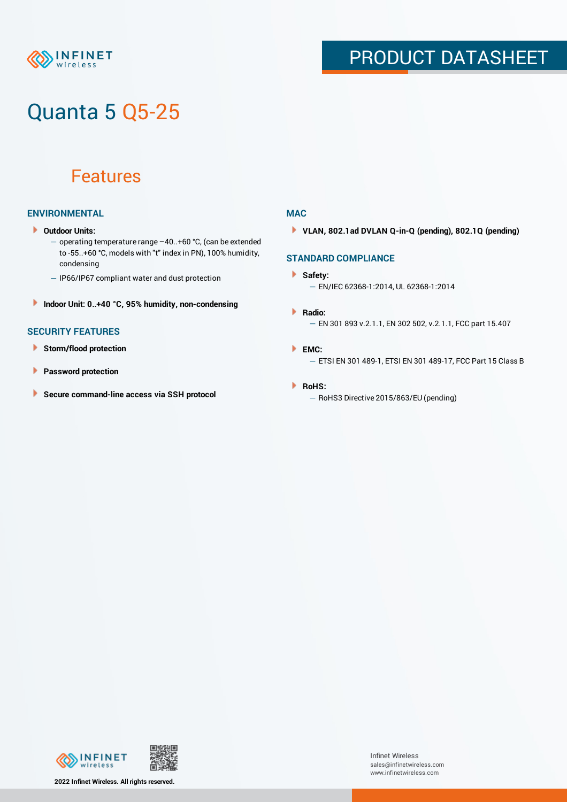

# Quanta 5 Q5-25

### Features

### **ENVIRONMENTAL**

- **Outdoor Units:**
	- operating temperature range –40..+60 °С, (can be extended to -55..+60 °С, models with "t" index in PN), 100% humidity, condensing
	- IP66/IP67 compliant water and dust protection
- **Indoor Unit: 0..+40 °C, 95% humidity, non-condensing**

### **SECURITY FEATURES**

- **Storm/flood protection**
- **Password protection**
- × **Secure command-line access via SSH protocol**

#### **MAC**

**VLAN, 802.1ad DVLAN Q-in-Q (pending), 802.1Q (pending)**

### **STANDARD COMPLIANCE**

#### **Safety:**

- EN/IEC 62368-1:2014, UL 62368-1:2014
- **Radio:** — EN 301 893 v.2.1.1, EN 302 502, v.2.1.1, FCC part 15.407
- **EMC:** — ETSI EN 301 489-1, ETSI EN 301 489-17, FCC Part 15 Class B

#### **RoHS:**

— RoHS3 Directive 2015/863/EU (pending)